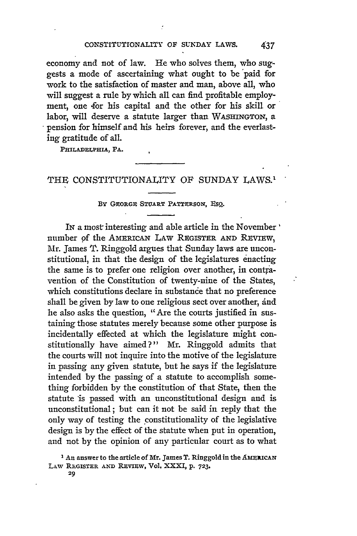437

economy and not of law. He who solves them, who suggests a mode of ascertaining what ought to be paid for work to the satisfaction of master and man, above all, who will suggest a rule **by** which all can find profitable employment, one for his capital and the other for his skill or labor, will deserve a statute larger than WASHINGTON, a pension for himself and his heirs forever, and the everlasting gratitude of all.

PHILADELPHIA, PA.

## THE CONSTITUTIONALITY **OF** SUNDAY LAWS.'

## BY GEORGE STUART PATTERSON, ESQ.

IN a most interesting and able article in the November' number **of** the AMERICAN LAW REGISTER **AND** REVIEW, Mr. James T. Ringgold argues that Sunday laws are unconstitutional, in that the design of the legislatures enacting the same is to prefer one religion over another, in contravention of the Constitution of twenty-nine of the States, which constitutions declare in substance that no preference shall be given by law to one religious sect over another, and he also asks the question, "Are the courts justified in sustaining those statutes merely because some other purpose is incidentally effected at which the legislature might constitutionally have aimed?" Mr. Ringgold admits that the courts will not inquire into the motive of the legislature in passing any given statute, but he says if the legislature intended by the passing of a statute to accomplish something forbidden by the constitution of that State, then the statute is passed with an unconstitutional design and is unconstitutional; but can it not be said in reply that the only way of testing the constitutionality of the legislative design is by the effect of the statute when put in operation, and not by the opinion of any particular court as to what

<sup>&</sup>lt;sup>1</sup> An answer to the article of Mr. James T. Ringgold in the AMERICAN LAW REGISTER **AND** RBViEw, **VOl.** XXXI, **p. 723.**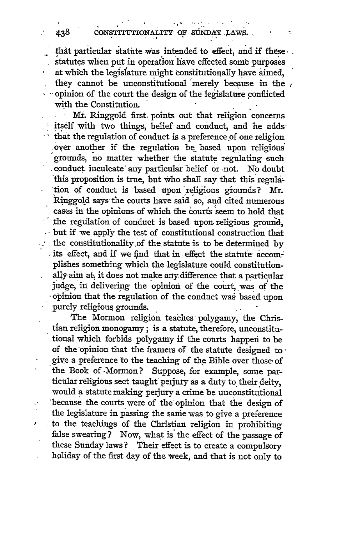that particular statute was intended to effect, and if these. statutes when put in operation have effected some purposes at which the legisfature might constitutionally have aimed, they cannot be unconstitutional merely because in the  $\prime$  $\cdots$  opinion of the court the design of the legislature conflicted with the Constitution.

Mr. Ringgold first. points out that religion concerns itself with two things, belief and conduct, and he adds that the regulation of conduct is a preference of one religion .oyer another if the regulation be based upon religious grounds, no matter whether the statute regulating such .conduct inculcate' any particular belief or -not. No doubt this proposition is true, but who shall say that this regula- 'tion of conduct is based upon 'religious grounds? Mr. Ringgold says the courts have said so, and cited numerous cases in the opinions of which the courts seem to hold that the regulation of conduct is based upon. religious grounid, but if we apply the test of constitutional construction that  $\therefore$  the constitutionality of the statute is to be determined by its effect, and if we find that in effect the statute accomplishes something which the legislature could constitutionally aim at, it does not make any difference that a particular judge, in delivering the opinion of the court, was of the opinion that the regulation of the conduct was based upon purely religious, grounds.

The Mormon religion teaches polygamy, the Christian religion monogamy; is a statute, therefore, unconstitutional which forbids polygamy if the courts happei to be of the opinion that the framers of the statute designed to give a preference to the teaching of the Bible over those of the Book of -Mormon? Suppose, for example, some particular religious sect taught perjury as a duty to their deity, would a statute making perjury a crime be unconstitutional because the courts were of the opinion that the design of the legislature in passing the same was to give a preference to the teachings of the Christian religion in prohibiting false swearing? Now, what is the effect of the passage of these Sunday laws? Their effect is to create a compulsory holiday of the first day of the week, and that is not only to

 $\pmb{\ell}$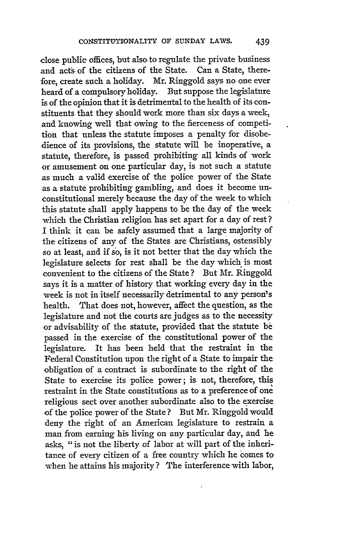close public offices, but also to regulate the private business and acts of the citizens of the State. Can a State, therefore, create such a holiday. Mr. Ringgold says no one ever heard of a compulsory holiday. But suppose the legislature is of the opinion that it is detrimental to the health of its constituents that they should work more than six days a week, and knowing well that owing to the fierceness of competition that unless the statute imposes a penalty for disobedience of its provisions, the statute will be inoperative, a statute, therefore, is passed prohibiting all kinds of work or amusement on one particular day, is not such a statute as much a valid exercise of the police power of the State as a statute prohibiting gambling, and does it become unconstitutional merely because the day of the week to which this statute shall apply happens to be the day of the week which the Christian religion has set apart for a day of rest? I think it **can** be safely assumed that a large majority of the citizens of any of the States are Christians, ostensibly so at least, and if so, is it not better that the day which the legislature selects for rest shall be the day which is most convenient to the citizens of the State? But Mr. Ringgold says it is a matter of history that working every day in the week is not in itself necessarily detrimental to any person's health. That does not, however, affect the question, as the legislature and not the courts are judges as to the necessity or advisability of the statute, provided that the statute be passed in the exercise of the constitutional power of the legislature. It has been held that the restraint in the Federal Constitution upon the right of a State to impair the obligation of a contract is subordinate to the right of the State to exercise its police power; is not, therefore, this restraint in the State constitutions as to a preference of one religious sect over another subordinate also to the exercise of the police power of the State? But Mr. Ringgold would deny the right of an American legislature to restrain a man from earning his living on any particular day, and he asks, "is not the liberty of labor at will part of the inheritance of every citizen of a free country which he comes to when he attains his majority ? The interference with labor,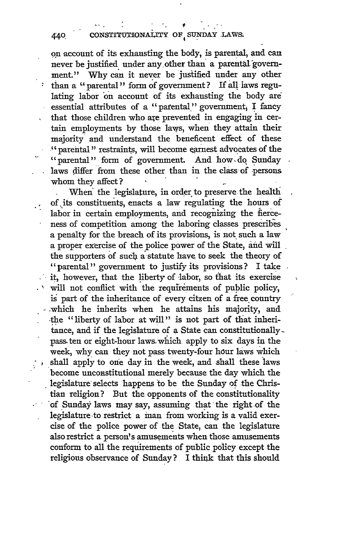$\mathbb{C}^2$ 

on account of its exhausting the body, is parental, and can never be justified under any other than a parental government." Why can it never be justified under any other than a "parental" form of government? If all laws regulating labor on account of its exhausting the body are essential attributes of a "parental" government, I fancy that those children who are prevented in engaging in certain employments **by** those laws, when they attain their majority and understand the beneficent effect of these " parental" restraints, will become earnest advocates of the "parental" form of government. And how do Sunday laws differ from these other than in the class of persons whom they affect?

When' the legislature, in order to preserve the health of its constituents, enacts a law regulating the hours of labor in certain employments, and recognizing the fierceness of competition among the laboring classes prescribes a penalty for the breach of its provisions, is not such a law a proper exercise of the police power of the State, and will the supporters of such a statute have to seek the theory of "parental" government to justify its provisions? I take  $\therefore$  it, however, that the liberty of labor, so that its exercise will not conflict with the requirements of public policy, is part of the inheritance of every citzen of a free. country - •which he inherits when he attains his majority, and 4the "liberty of labor at will" is not part of that inheritance, and if the legislature of a State can constitutionallypass ten or eight-hour laws. which apply to six days in the week, why can they not pass twenty-four hour laws which shall apply to one day in the week, and shall these laws become unconstitutional merely because the day which the legislature'selects happens to be the Sunday of the Christian religion? But the opponents of the constitutionality 'of Sunday laws may say, assuming that the right.of the legislature to restrict a man from working is a valid exercise of the police power of the State, can the legislature also restrict a person's amusements when those amusements conform to all the requirements of public policy except the religious observance of Sunday? I think that this should